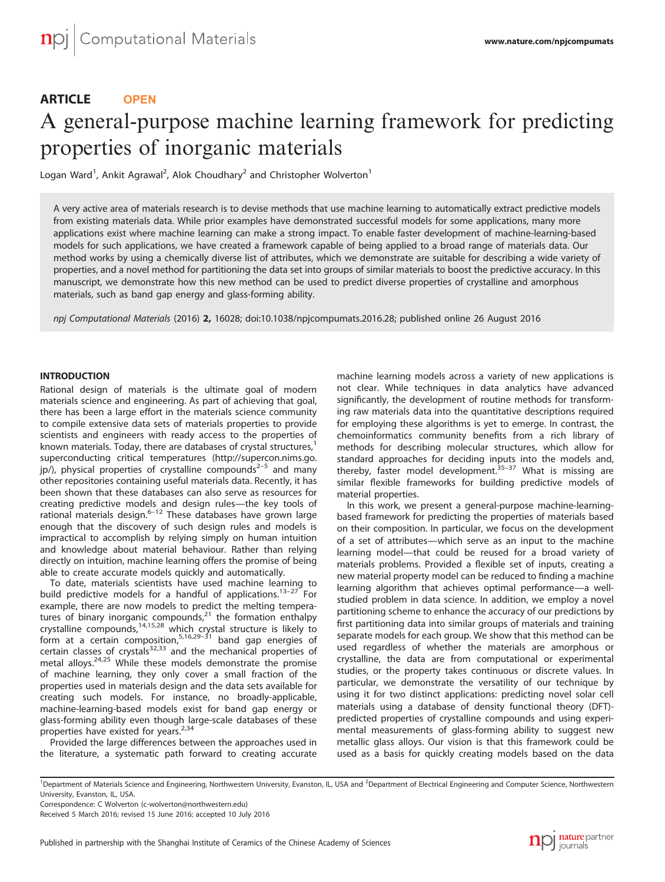# ARTICLE **OPEN**

# A general-purpose machine learning framework for predicting properties of inorganic materials

Logan Ward<sup>1</sup>, Ankit Agrawal<sup>2</sup>, Alok Choudhary<sup>2</sup> and Christopher Wolverton<sup>1</sup>

A very active area of materials research is to devise methods that use machine learning to automatically extract predictive models from existing materials data. While prior examples have demonstrated successful models for some applications, many more applications exist where machine learning can make a strong impact. To enable faster development of machine-learning-based models for such applications, we have created a framework capable of being applied to a broad range of materials data. Our method works by using a chemically diverse list of attributes, which we demonstrate are suitable for describing a wide variety of properties, and a novel method for partitioning the data set into groups of similar materials to boost the predictive accuracy. In this manuscript, we demonstrate how this new method can be used to predict diverse properties of crystalline and amorphous materials, such as band gap energy and glass-forming ability.

npj Computational Materials (2016) 2, 16028; doi:[10.1038/npjcompumats.2016.28](http://dx.doi.org/10.1038/npjcompumats.2016.28); published online 26 August 2016

## **INTRODUCTION**

Rational design of materials is the ultimate goal of modern materials science and engineering. As part of achieving that goal, there has been a large effort in the materials science community to compile extensive data sets of materials properties to provide scientists and engineers with ready access to the properties of known materials. Today, there are databases of crystal structures,<sup>[1](#page-5-0)</sup> superconducting critical temperatures ([http://supercon.nims.go.](http://supercon.nims.go.jp/)  $|p\rangle$ , physical properties of crystalline compounds<sup>2-5</sup> and many other repositories containing useful materials data. Recently, it has been shown that these databases can also serve as resources for creating predictive models and design rules—the key tools of rational materials design. $6-12$  $6-12$  These databases have grown large enough that the discovery of such design rules and models is impractical to accomplish by relying simply on human intuition and knowledge about material behaviour. Rather than relying directly on intuition, machine learning offers the promise of being able to create accurate models quickly and automatically.

To date, materials scientists have used machine learning to build predictive models for a handful of applications.<sup>[13](#page-5-0)-27</sup> For example, there are now models to predict the melting temperatures of binary inorganic compounds, $21$  the formation enthalpy crystalline compounds,[14,15,28](#page-5-0) whic[h crys](#page-5-0)tal structure is likely to form at a certain composition,  $5,16,29-31$  $5,16,29-31$  $5,16,29-31$  $5,16,29-31$  band gap energies of certain classes of crystals<sup>[32,33](#page-6-0)</sup> and the mechanical properties of metal alloys.<sup>[24,25](#page-5-0)</sup> While these models demonstrate the promise of machine learning, they only cover a small fraction of the properties used in materials design and the data sets available for creating such models. For instance, no broadly-applicable, machine-learning-based models exist for band gap energy or glass-forming ability even though large-scale databases of these properties have existed for years.<sup>[2,](#page-5-0)[34](#page-6-0)</sup>

Provided the large differences between the approaches used in the literature, a systematic path forward to creating accurate machine learning models across a variety of new applications is not clear. While techniques in data analytics have advanced significantly, the development of routine methods for transforming raw materials data into the quantitative descriptions required for employing these algorithms is yet to emerge. In contrast, the chemoinformatics community benefits from a rich library of methods for describing molecular structures, which allow for standard approaches for deciding inputs into the models and, thereby, faster model development. $35-37$  $35-37$  What is missing are similar flexible frameworks for building predictive models of material properties.

In this work, we present a general-purpose machine-learningbased framework for predicting the properties of materials based on their composition. In particular, we focus on the development of a set of attributes—which serve as an input to the machine learning model—that could be reused for a broad variety of materials problems. Provided a flexible set of inputs, creating a new material property model can be reduced to finding a machine learning algorithm that achieves optimal performance—a wellstudied problem in data science. In addition, we employ a novel partitioning scheme to enhance the accuracy of our predictions by first partitioning data into similar groups of materials and training separate models for each group. We show that this method can be used regardless of whether the materials are amorphous or crystalline, the data are from computational or experimental studies, or the property takes continuous or discrete values. In particular, we demonstrate the versatility of our technique by using it for two distinct applications: predicting novel solar cell materials using a database of density functional theory (DFT) predicted properties of crystalline compounds and using experimental measurements of glass-forming ability to suggest new metallic glass alloys. Our vision is that this framework could be used as a basis for quickly creating models based on the data

<sup>1</sup>Department of Materials Science and Engineering, Northwestern University, Evanston, IL, USA and <sup>2</sup>Department of Electrical Engineering and Computer Science, Northwestern University, Evanston, IL, USA.

Correspondence: C Wolverton [\(c-wolverton@northwestern.edu](mailto:c-wolverton@northwestern.edu))

Received 5 March 2016; revised 15 June 2016; accepted 10 July 2016

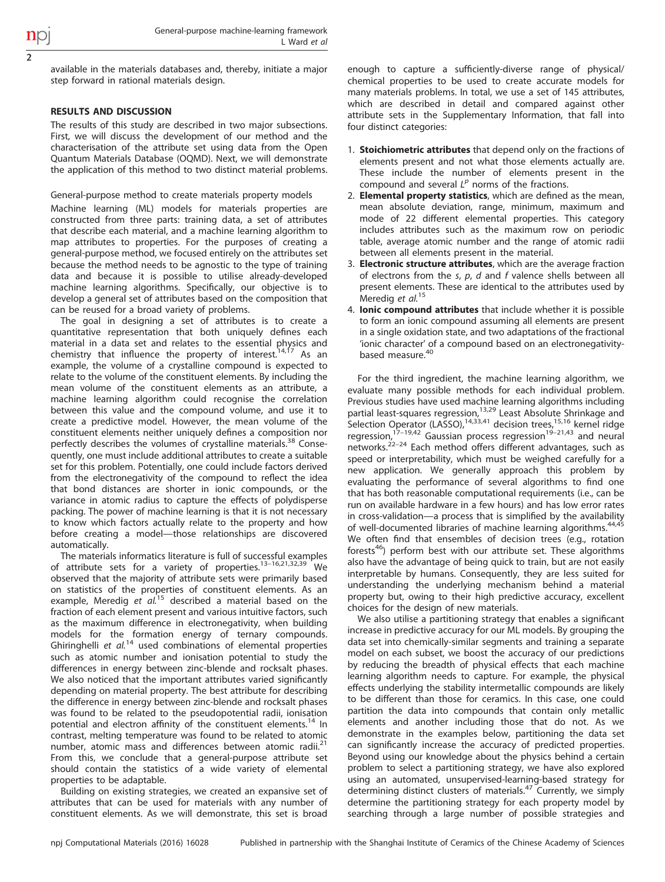2

available in the materials databases and, thereby, initiate a major step forward in rational materials design.

## RESULTS AND DISCUSSION

The results of this study are described in two major subsections. First, we will discuss the development of our method and the characterisation of the attribute set using data from the Open Quantum Materials Database (OQMD). Next, we will demonstrate the application of this method to two distinct material problems.

General-purpose method to create materials property models

Machine learning (ML) models for materials properties are constructed from three parts: training data, a set of attributes that describe each material, and a machine learning algorithm to map attributes to properties. For the purposes of creating a general-purpose method, we focused entirely on the attributes set because the method needs to be agnostic to the type of training data and because it is possible to utilise already-developed machine learning algorithms. Specifically, our objective is to develop a general set of attributes based on the composition that can be reused for a broad variety of problems.

The goal in designing a set of attributes is to create a quantitative representation that both uniquely defines each material in a data set and relates to the essential physics and chemistry that influence the property of interest.<sup>[14](#page-5-0),[17](#page-5-0)</sup> As an example, the volume of a crystalline compound is expected to relate to the volume of the constituent elements. By including the mean volume of the constituent elements as an attribute, a machine learning algorithm could recognise the correlation between this value and the compound volume, and use it to create a predictive model. However, the mean volume of the constituent elements neither uniquely defines a composition nor perfectly describes the volumes of crystalline materials.<sup>[38](#page-6-0)</sup> Consequently, one must include additional attributes to create a suitable set for this problem. Potentially, one could include factors derived from the electronegativity of the compound to reflect the idea that bond distances are shorter in ionic compounds, or the variance in atomic radius to capture the effects of polydisperse packing. The power of machine learning is that it is not necessary to know which factors actually relate to the property and how before creating a model—those relationships are discovered automatically.

The materials informatics literature is full of suc[cessfu](#page-5-0)l examples of attribute sets for a variety of properties.13–16[,21](#page-5-0),[32,39](#page-6-0) We observed that the majority of attribute sets were primarily based on statistics of the properties of constituent elements. As an example, Meredig et  $al^{15}$  $al^{15}$  $al^{15}$  described a material based on the fraction of each element present and various intuitive factors, such as the maximum difference in electronegativity, when building models for the formation energy of ternary compounds. Ghiringhelli et  $al^{14}$  $al^{14}$  $al^{14}$  used combinations of elemental properties such as atomic number and ionisation potential to study the differences in energy between zinc-blende and rocksalt phases. We also noticed that the important attributes varied significantly depending on material property. The best attribute for describing the difference in energy between zinc-blende and rocksalt phases was found to be related to the pseudopotential radii, ionisation potential and electron affinity of the constituent elements.<sup>[14](#page-5-0)</sup> In contrast, melting temperature was found to be related to atomic number, atomic mass and differences between atomic radii.<sup>[21](#page-5-0)</sup> From this, we conclude that a general-purpose attribute set should contain the statistics of a wide variety of elemental properties to be adaptable.

Building on existing strategies, we created an expansive set of attributes that can be used for materials with any number of constituent elements. As we will demonstrate, this set is broad

enough to capture a sufficiently-diverse range of physical/ chemical properties to be used to create accurate models for many materials problems. In total, we use a set of 145 attributes, which are described in detail and compared against other attribute sets in the Supplementary Information, that fall into four distinct categories:

- 1. **Stoichiometric attributes** that depend only on the fractions of elements present and not what those elements actually are. These include the number of elements present in the compound and several  $L^p$  norms of the fractions.
- 2. Elemental property statistics, which are defined as the mean, mean absolute deviation, range, minimum, maximum and mode of 22 different elemental properties. This category includes attributes such as the maximum row on periodic table, average atomic number and the range of atomic radii between all elements present in the material.
- 3. Electronic structure attributes, which are the average fraction of electrons from the  $s$ ,  $p$ ,  $d$  and  $f$  valence shells between all present elements. These are identical to the attributes used by Meredig et al.<sup>[15](#page-5-0)</sup>
- 4. Ionic compound attributes that include whether it is possible to form an ionic compound assuming all elements are present in a single oxidation state, and two adaptations of the fractional 'ionic character' of a compound based on an electronegativity-based measure.<sup>[40](#page-6-0)</sup>

For the third ingredient, the machine learning algorithm, we evaluate many possible methods for each individual problem. Previous studies have used machine learning algorithms including partial least-squares regression,<sup>[13](#page-5-0),[29](#page-5-0)</sup> Least Absolute Shrinkage and Selection [Opera](#page-5-0)tor (LASSO),<sup>[14](#page-5-0)[,33](#page-6-0),[41](#page-6-0)</sup> decision trees,<sup>[15,16](#page-5-0)</sup> kernel ridge regression,<sup>17-19[,42](#page-6-0)</sup> Gaussian process regression<sup>19-[21](#page-5-0)[,43](#page-6-0)</sup> and neural networks.[22](#page-5-0)–<sup>24</sup> Each method offers different advantages, such as speed or interpretability, which must be weighed carefully for a new application. We generally approach this problem by evaluating the performance of several algorithms to find one that has both reasonable computational requirements (i.e., can be run on available hardware in a few hours) and has low error rates in cross-validation—a process that is simplified by the availability of well-documented libraries of machine learning algorithms.<sup>[44](#page-6-0),[45](#page-6-0)</sup> We often find that ensembles of decision trees (e.g., rotation forests<sup>[46](#page-6-0)</sup>) perform best with our attribute set. These algorithms also have the advantage of being quick to train, but are not easily interpretable by humans. Consequently, they are less suited for understanding the underlying mechanism behind a material property but, owing to their high predictive accuracy, excellent choices for the design of new materials.

We also utilise a partitioning strategy that enables a significant increase in predictive accuracy for our ML models. By grouping the data set into chemically-similar segments and training a separate model on each subset, we boost the accuracy of our predictions by reducing the breadth of physical effects that each machine learning algorithm needs to capture. For example, the physical effects underlying the stability intermetallic compounds are likely to be different than those for ceramics. In this case, one could partition the data into compounds that contain only metallic elements and another including those that do not. As we demonstrate in the examples below, partitioning the data set can significantly increase the accuracy of predicted properties. Beyond using our knowledge about the physics behind a certain problem to select a partitioning strategy, we have also explored using an automated, unsupervised-learning-based strategy for determining distinct clusters of materials.<sup>[47](#page-6-0)</sup> Currently, we simply determine the partitioning strategy for each property model by searching through a large number of possible strategies and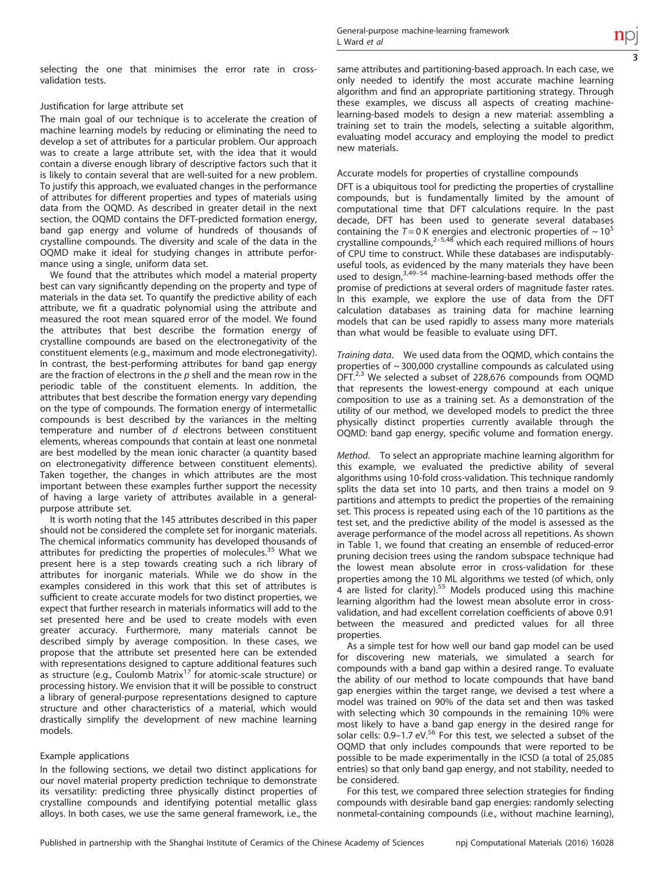selecting the one that minimises the error rate in crossvalidation tests.

# Justification for large attribute set

The main goal of our technique is to accelerate the creation of machine learning models by reducing or eliminating the need to develop a set of attributes for a particular problem. Our approach was to create a large attribute set, with the idea that it would contain a diverse enough library of descriptive factors such that it is likely to contain several that are well-suited for a new problem. To justify this approach, we evaluated changes in the performance of attributes for different properties and types of materials using data from the OQMD. As described in greater detail in the next section, the OQMD contains the DFT-predicted formation energy, band gap energy and volume of hundreds of thousands of crystalline compounds. The diversity and scale of the data in the OQMD make it ideal for studying changes in attribute performance using a single, uniform data set.

We found that the attributes which model a material property best can vary significantly depending on the property and type of materials in the data set. To quantify the predictive ability of each attribute, we fit a quadratic polynomial using the attribute and measured the root mean squared error of the model. We found the attributes that best describe the formation energy of crystalline compounds are based on the electronegativity of the constituent elements (e.g., maximum and mode electronegativity). In contrast, the best-performing attributes for band gap energy are the fraction of electrons in the  $p$  shell and the mean row in the periodic table of the constituent elements. In addition, the attributes that best describe the formation energy vary depending on the type of compounds. The formation energy of intermetallic compounds is best described by the variances in the melting temperature and number of  $d$  electrons between constituent elements, whereas compounds that contain at least one nonmetal are best modelled by the mean ionic character (a quantity based on electronegativity difference between constituent elements). Taken together, the changes in which attributes are the most important between these examples further support the necessity of having a large variety of attributes available in a generalpurpose attribute set.

It is worth noting that the 145 attributes described in this paper should not be considered the complete set for inorganic materials. The chemical informatics community has developed thousands of attributes for predicting the properties of molecules.<sup>[35](#page-6-0)</sup> What we present here is a step towards creating such a rich library of attributes for inorganic materials. While we do show in the examples considered in this work that this set of attributes is sufficient to create accurate models for two distinct properties, we expect that further research in materials informatics will add to the set presented here and be used to create models with even greater accuracy. Furthermore, many materials cannot be described simply by average composition. In these cases, we propose that the attribute set presented here can be extended with representations designed to capture additional features such as structure (e.g., Coulomb Matrix<sup>[17](#page-5-0)</sup> for atomic-scale structure) or processing history. We envision that it will be possible to construct a library of general-purpose representations designed to capture structure and other characteristics of a material, which would drastically simplify the development of new machine learning models.

# Example applications

In the following sections, we detail two distinct applications for our novel material property prediction technique to demonstrate its versatility: predicting three physically distinct properties of crystalline compounds and identifying potential metallic glass alloys. In both cases, we use the same general framework, i.e., the same attributes and partitioning-based approach. In each case, we only needed to identify the most accurate machine learning algorithm and find an appropriate partitioning strategy. Through these examples, we discuss all aspects of creating machinelearning-based models to design a new material: assembling a training set to train the models, selecting a suitable algorithm, evaluating model accuracy and employing the model to predict new materials.

# Accurate models for properties of crystalline compounds

DFT is a ubiquitous tool for predicting the properties of crystalline compounds, but is fundamentally limited by the amount of computational time that DFT calculations require. In the past decade, DFT has been used to generate several databases containing the  $T = 0$  K [ene](#page-5-0)rgies and electronic properties of  $\sim 10^5$ crystalline compounds, $2-5,48$  $2-5,48$  which each required millions of hours of CPU time to construct. While these databases are indisputablyuseful tools, as e[viden](#page-6-0)ced by the many materials they have been used to design,<sup>[3](#page-5-0),49-54</sup> machine-learning-based methods offer the promise of predictions at several orders of magnitude faster rates. In this example, we explore the use of data from the DFT calculation databases as training data for machine learning models that can be used rapidly to assess many more materials than what would be feasible to evaluate using DFT.

Training data. We used data from the OQMD, which contains the properties of  $\sim$  300,000 crystalline compounds as calculated using DFT.<sup>[2,3](#page-5-0)</sup> We selected a subset of 228,676 compounds from OQMD that represents the lowest-energy compound at each unique composition to use as a training set. As a demonstration of the utility of our method, we developed models to predict the three physically distinct properties currently available through the OQMD: band gap energy, specific volume and formation energy.

Method. To select an appropriate machine learning algorithm for this example, we evaluated the predictive ability of several algorithms using 10-fold cross-validation. This technique randomly splits the data set into 10 parts, and then trains a model on 9 partitions and attempts to predict the properties of the remaining set. This process is repeated using each of the 10 partitions as the test set, and the predictive ability of the model is assessed as the average performance of the model across all repetitions. As shown in [Table 1,](#page-3-0) we found that creating an ensemble of reduced-error pruning decision trees using the random subspace technique had the lowest mean absolute error in cross-validation for these properties among the 10 ML algorithms we tested (of which, only  $4$  are listed for clarity).<sup>[55](#page-6-0)</sup> Models produced using this machine learning algorithm had the lowest mean absolute error in crossvalidation, and had excellent correlation coefficients of above 0.91 between the measured and predicted values for all three properties.

As a simple test for how well our band gap model can be used for discovering new materials, we simulated a search for compounds with a band gap within a desired range. To evaluate the ability of our method to locate compounds that have band gap energies within the target range, we devised a test where a model was trained on 90% of the data set and then was tasked with selecting which 30 compounds in the remaining 10% were most likely to have a band gap energy in the desired range for<br>solar cells: 0.9–1.7 eV.<sup>[56](#page-6-0)</sup> For this test, we selected a subset of the OQMD that only includes compounds that were reported to be possible to be made experimentally in the ICSD (a total of 25,085 entries) so that only band gap energy, and not stability, needed to be considered.

For this test, we compared three selection strategies for finding compounds with desirable band gap energies: randomly selecting nonmetal-containing compounds (i.e., without machine learning),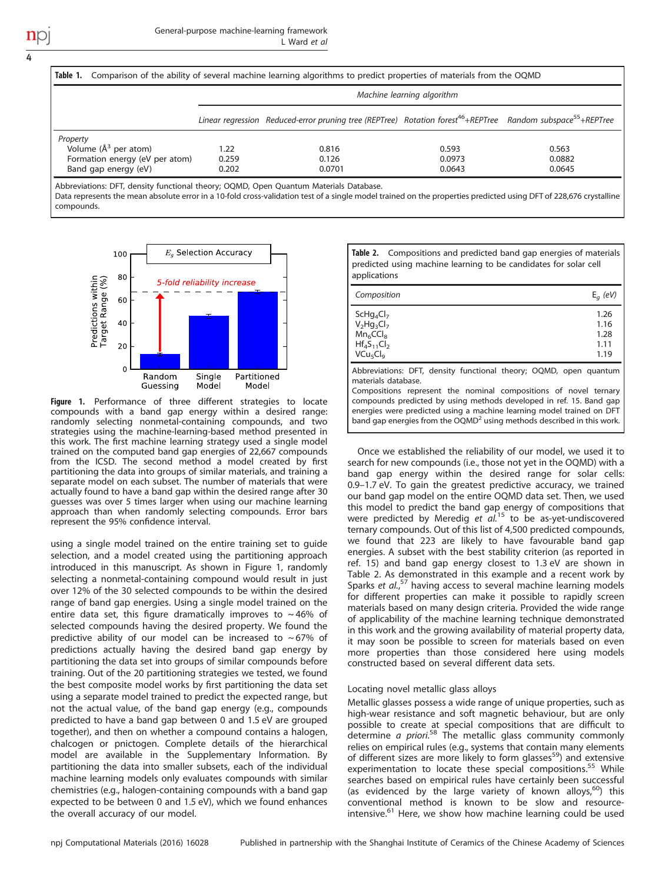4

|                                | Table 1. Comparison of the ability of several machine learning algorithms to predict properties of materials from the OQMD |                                                                                                                                      |        |        |  |  |
|--------------------------------|----------------------------------------------------------------------------------------------------------------------------|--------------------------------------------------------------------------------------------------------------------------------------|--------|--------|--|--|
|                                | Machine learning algorithm                                                                                                 |                                                                                                                                      |        |        |  |  |
|                                |                                                                                                                            | Linear regression Reduced-error pruning tree (REPTree) Rotation forest <sup>46</sup> +REPTree Random subspace <sup>55</sup> +REPTree |        |        |  |  |
| Property                       |                                                                                                                            |                                                                                                                                      |        |        |  |  |
| Volume $(A^3$ per atom)        | 1.22                                                                                                                       | 0.816                                                                                                                                | 0.593  | 0.563  |  |  |
| Formation energy (eV per atom) | 0.259                                                                                                                      | 0.126                                                                                                                                | 0.0973 | 0.0882 |  |  |
| Band gap energy (eV)           | 0.202                                                                                                                      | 0.0701                                                                                                                               | 0.0643 | 0.0645 |  |  |

Abbreviations: DFT, density functional theory; OQMD, Open Quantum Materials Database.

Data represents the mean absolute error in a 10-fold cross-validation test of a single model trained on the properties predicted using DFT of 228,676 crystalline compounds.



Figure 1. Performance of three different strategies to locate compounds with a band gap energy within a desired range: randomly selecting nonmetal-containing compounds, and two strategies using the machine-learning-based method presented in this work. The first machine learning strategy used a single model trained on the computed band gap energies of 22,667 compounds from the ICSD. The second method a model created by first partitioning the data into groups of similar materials, and training a separate model on each subset. The number of materials that were actually found to have a band gap within the desired range after 30 guesses was over 5 times larger when using our machine learning approach than when randomly selecting compounds. Error bars represent the 95% confidence interval.

<span id="page-3-0"></span>using a single model trained on the entire training set to guide selection, and a model created using the partitioning approach introduced in this manuscript. As shown in [Figure 1,](#page-3-0) randomly selecting a nonmetal-containing compound would result in just over 12% of the 30 selected compounds to be within the desired range of band gap energies. Using a single model trained on the entire data set, this figure dramatically improves to  $\sim$  46% of selected compounds having the desired property. We found the predictive ability of our model can be increased to  $\sim$  67% of predictions actually having the desired band gap energy by partitioning the data set into groups of similar compounds before training. Out of the 20 partitioning strategies we tested, we found the best composite model works by first partitioning the data set using a separate model trained to predict the expected range, but not the actual value, of the band gap energy (e.g., compounds predicted to have a band gap between 0 and 1.5 eV are grouped together), and then on whether a compound contains a halogen, chalcogen or pnictogen. Complete details of the hierarchical model are available in the Supplementary Information. By partitioning the data into smaller subsets, each of the individual machine learning models only evaluates compounds with similar chemistries (e.g., halogen-containing compounds with a band gap expected to be between 0 and 1.5 eV), which we found enhances the overall accuracy of our model.

Table 2. Compositions and predicted band gap energies of materials predicted using machine learning to be candidates for solar cell applications

| Composition                      | $E_q$ (eV) |
|----------------------------------|------------|
| $SCHq_4Cl_7$                     | 1.26       |
| $V_2Hg_3Cl_7$                    | 1.16       |
| Mn <sub>6</sub> CCI <sub>8</sub> | 1.28       |
| $Hf_4S_{11}Cl_2$                 | 1.11       |
| VCu <sub>5</sub> Cl <sub>9</sub> | 1.19       |

Abbreviations: DFT, density functional theory; OQMD, open quantum materials database.

Compositions represent the nominal compositions of novel ternary compounds predicted by using methods developed in [ref. 15](#page-5-0). Band gap energies were predicted using a machine learning model trained on DFT band gap energies from the OQMD<sup>[2](#page-5-0)</sup> using methods described in this work.

Once we established the reliability of our model, we used it to search for new compounds (i.e., those not yet in the OQMD) with a band gap energy within the desired range for solar cells: 0.9–1.7 eV. To gain the greatest predictive accuracy, we trained our band gap model on the entire OQMD data set. Then, we used this model to predict the band gap energy of compositions that were predicted by Meredig et  $al^{15}$  $al^{15}$  $al^{15}$  to be as-yet-undiscovered ternary compounds. Out of this list of 4,500 predicted compounds, we found that 223 are likely to have favourable band gap energies. A subset with the best stability criterion (as reported in [ref. 15\)](#page-5-0) and band gap energy closest to 1.3 eV are shown in [Table 2.](#page-3-0) As demonstrated in this example and a recent work by Sparks et al.,<sup>[57](#page-6-0)</sup> having access to several machine learning models for different properties can make it possible to rapidly screen materials based on many design criteria. Provided the wide range of applicability of the machine learning technique demonstrated in this work and the growing availability of material property data, it may soon be possible to screen for materials based on even more properties than those considered here using models constructed based on several different data sets.

## Locating novel metallic glass alloys

Metallic glasses possess a wide range of unique properties, such as high-wear resistance and soft magnetic behaviour, but are only possible to create at special compositions that are difficult to determine *a priori.*<sup>[58](#page-6-0)</sup> The metallic glass community commonly relies on empirical rules (e.g., systems that contain many elements of different sizes are more likely to form glasses<sup>[59](#page-6-0)</sup>) and extensive experimentation to locate these special compositions.<sup>[55](#page-6-0)</sup> While searches based on empirical rules have certainly been successful (as evidenced by the large variety of known alloys,<sup>[60](#page-6-0)</sup>) this conventional method is known to be slow and resource-intensive.<sup>[61](#page-6-0)</sup> Here, we show how machine learning could be used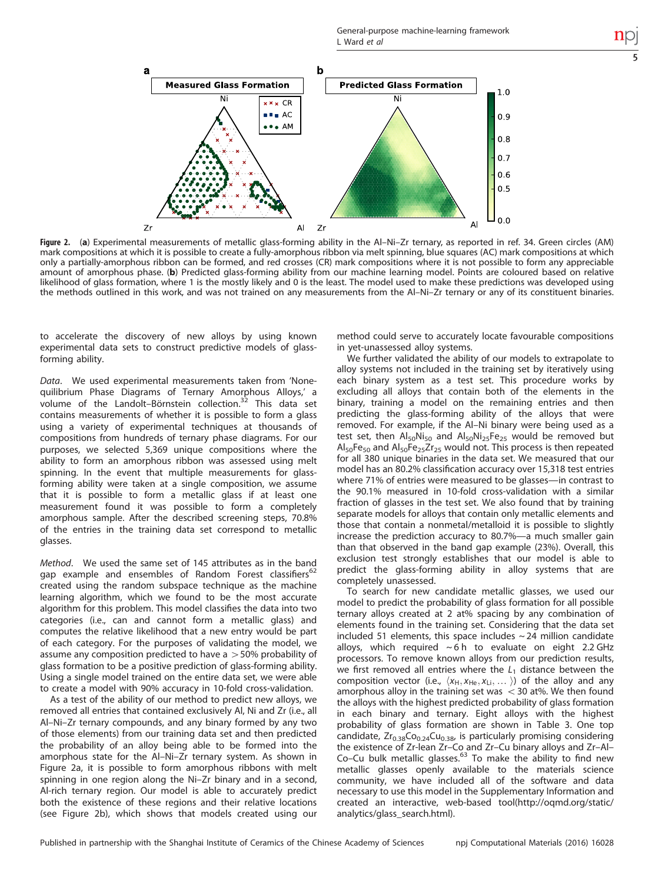5



Figure 2. (a) Experimental measurements of metallic glass-forming ability in the Al–Ni–Zr ternary, as reported in [ref. 34.](#page-6-0) Green circles (AM) mark compositions at which it is possible to create a fully-amorphous ribbon via melt spinning, blue squares (AC) mark compositions at which only a partially-amorphous ribbon can be formed, and red crosses (CR) mark compositions where it is not possible to form any appreciable amount of amorphous phase. (b) Predicted glass-forming ability from our machine learning model. Points are coloured based on relative likelihood of glass formation, where 1 is the mostly likely and 0 is the least. The model used to make these predictions was developed using the methods outlined in this work, and was not trained on any measurements from the Al–Ni–Zr ternary or any of its constituent binaries.

to accelerate the discovery of new alloys by using known experimental data sets to construct predictive models of glassforming ability.

Data. We used experimental measurements taken from 'Nonequilibrium Phase Diagrams of Ternary Amorphous Alloys,' a volume of the Landolt–Börnstein collection.[32](#page-6-0) This data set contains measurements of whether it is possible to form a glass using a variety of experimental techniques at thousands of compositions from hundreds of ternary phase diagrams. For our purposes, we selected 5,369 unique compositions where the ability to form an amorphous ribbon was assessed using melt spinning. In the event that multiple measurements for glassforming ability were taken at a single composition, we assume that it is possible to form a metallic glass if at least one measurement found it was possible to form a completely amorphous sample. After the described screening steps, 70.8% of the entries in the training data set correspond to metallic glasses.

Method. We used the same set of 145 attributes as in the band gap example and ensembles of Random Forest classifiers<sup>[62](#page-6-0)</sup> created using the random subspace technique as the machine learning algorithm, which we found to be the most accurate algorithm for this problem. This model classifies the data into two categories (i.e., can and cannot form a metallic glass) and computes the relative likelihood that a new entry would be part of each category. For the purposes of validating the model, we assume any composition predicted to have a  $>$  50% probability of glass formation to be a positive prediction of glass-forming ability. Using a single model trained on the entire data set, we were able to create a model with 90% accuracy in 10-fold cross-validation.

<span id="page-4-0"></span>As a test of the ability of our method to predict new alloys, we removed all entries that contained exclusively Al, Ni and Zr (i.e., all Al–Ni–Zr ternary compounds, and any binary formed by any two of those elements) from our training data set and then predicted the probability of an alloy being able to be formed into the amorphous state for the Al–Ni–Zr ternary system. As shown in [Figure 2a,](#page-4-0) it is possible to form amorphous ribbons with melt spinning in one region along the Ni–Zr binary and in a second, Al-rich ternary region. Our model is able to accurately predict both the existence of these regions and their relative locations (see [Figure 2b](#page-4-0)), which shows that models created using our method could serve to accurately locate favourable compositions in yet-unassessed alloy systems.

We further validated the ability of our models to extrapolate to alloy systems not included in the training set by iteratively using each binary system as a test set. This procedure works by excluding all alloys that contain both of the elements in the binary, training a model on the remaining entries and then predicting the glass-forming ability of the alloys that were removed. For example, if the Al–Ni binary were being used as a test set, then  $\text{Al}_{50}\text{Ni}_{50}$  and  $\text{Al}_{50}\text{Ni}_{25}\text{Fe}_{25}$  would be removed but  $\mathsf{Al}_{50}\mathsf{Fe}_{50}$  and  $\mathsf{Al}_{50}\mathsf{Fe}_{25}\mathsf{Zr}_{25}$  would not. This process is then repeated for all 380 unique binaries in the data set. We measured that our model has an 80.2% classification accuracy over 15,318 test entries where 71% of entries were measured to be glasses—in contrast to the 90.1% measured in 10-fold cross-validation with a similar fraction of glasses in the test set. We also found that by training separate models for alloys that contain only metallic elements and those that contain a nonmetal/metalloid it is possible to slightly increase the prediction accuracy to 80.7%—a much smaller gain than that observed in the band gap example (23%). Overall, this exclusion test strongly establishes that our model is able to predict the glass-forming ability in alloy systems that are completely unassessed.

To search for new candidate metallic glasses, we used our model to predict the probability of glass formation for all possible ternary alloys created at 2 at% spacing by any combination of elements found in the training set. Considering that the data set included 51 elements, this space includes  $\sim$  24 million candidate alloys, which required  $~6 h$  to evaluate on eight 2.2 GHz processors. To remove known alloys from our prediction results, we first removed all entries where the  $L_1$  distance between the composition vector (i.e.,  $\langle x_H, x_{He}, x_L, \ldots \rangle$ ) of the alloy and any amorphous alloy in the training set was  $<$  30 at%. We then found the alloys with the highest predicted probability of glass formation in each binary and ternary. Eight alloys with the highest probability of glass formation are shown in [Table 3.](#page-5-0) One top candidate,  $Zr_{0.38}Co_{0.24}Cu_{0.38}$ , is particularly promising considering the existence of Zr-lean Zr–Co and Zr–Cu binary alloys and Zr–Al– Co–Cu bulk metallic glasses.<sup>[63](#page-6-0)</sup> To make the ability to find new metallic glasses openly available to the materials science community, we have included all of the software and data necessary to use this model in the Supplementary Information and created an interactive, web-based tool([http://oqmd.org/static/](http://oqmd.org/static/analytics/glass_search.html) [analytics/glass\\_search.html](http://oqmd.org/static/analytics/glass_search.html)).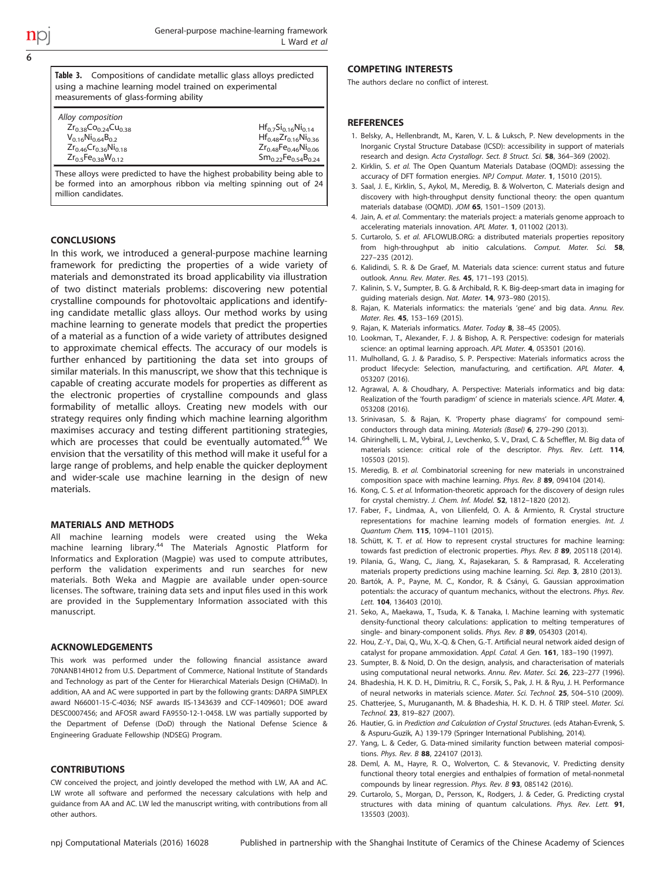Table 3. Compositions of candidate metallic glass alloys predicted using a machine learning model trained on experimental measurements of glass-forming ability Alloy composition  $Zr_{0.38}C_{0.24}C_{0.38}$   $V_{0.16}Ni_{0.64}B_{0.2}$   $Hf_{0.48}Zr_{0.16}Ni_{0.34}$  $Hf_{0.48}Zr_{0.16}Ni_{0.36}$ <br> $Zr_{0.48}Fe_{0.46}Ni_{0.06}$  $Zr_{0.46}Cr_{0.36}Ni_{0.18}$ <br> $Zr_{0.5}Fe_{0.38}W_{0.12}$  $Sm_{0.22}Fe_{0.54}B_{0.24}$ 

These alloys were predicted to have the highest probability being able to be formed into an amorphous ribbon via melting spinning out of 24 million candidates.

## **CONCLUSIONS**

In this work, we introduced a general-purpose machine learning framework for predicting the properties of a wide variety of materials and demonstrated its broad applicability via illustration of two distinct materials problems: discovering new potential crystalline compounds for photovoltaic applications and identifying candidate metallic glass alloys. Our method works by using machine learning to generate models that predict the properties of a material as a function of a wide variety of attributes designed to approximate chemical effects. The accuracy of our models is further enhanced by partitioning the data set into groups of similar materials. In this manuscript, we show that this technique is capable of creating accurate models for properties as different as the electronic properties of crystalline compounds and glass formability of metallic alloys. Creating new models with our strategy requires only finding which machine learning algorithm maximises accuracy and testing different partitioning strategies, which are processes that could be eventually automated.<sup>[64](#page-6-0)</sup> We envision that the versatility of this method will make it useful for a large range of problems, and help enable the quicker deployment and wider-scale use machine learning in the design of new materials.

### MATERIALS AND METHODS

All machine learning models were created using the Weka machine learning library.[44](#page-6-0) The Materials Agnostic Platform for Informatics and Exploration (Magpie) was used to compute attributes, perform the validation experiments and run searches for new materials. Both Weka and Magpie are available under open-source licenses. The software, training data sets and input files used in this work are provided in the Supplementary Information associated with this manuscript.

### ACKNOWLEDGEMENTS

This work was performed under the following financial assistance award 70NANB14H012 from U.S. Department of Commerce, National Institute of Standards and Technology as part of the Center for Hierarchical Materials Design (CHiMaD). In addition, AA and AC were supported in part by the following grants: DARPA SIMPLEX award N66001-15-C-4036; NSF awards IIS-1343639 and CCF-1409601; DOE award DESC0007456; and AFOSR award FA9550-12-1-0458. LW was partially supported by the Department of Defense (DoD) through the National Defense Science & Engineering Graduate Fellowship (NDSEG) Program.

#### **CONTRIBUTIONS**

<span id="page-5-0"></span>CW conceived the project, and jointly developed the method with LW, AA and AC. LW wrote all software and performed the necessary calculations with help and guidance from AA and AC. LW led the manuscript writing, with contributions from all other authors.

### COMPETING INTERESTS

The authors declare no conflict of interest.

#### **REFERENCES**

- 1. Belsky, A., Hellenbrandt, M., Karen, V. L. & Luksch, P. New developments in the Inorganic Crystal Structure Database (ICSD): accessibility in support of materials research and design. Acta Crystallogr. Sect. B Struct. Sci. 58, 364–369 (2002).
- 2. Kirklin, S. et al. The Open Quantum Materials Database (OQMD): assessing the accuracy of DFT formation energies. NPJ Comput. Mater. 1, 15010 (2015).
- 3. Saal, J. E., Kirklin, S., Aykol, M., Meredig, B. & Wolverton, C. Materials design and discovery with high-throughput density functional theory: the open quantum materials database (OQMD). JOM 65, 1501–1509 (2013).
- 4. Jain, A. et al. Commentary: the materials project: a materials genome approach to accelerating materials innovation. APL Mater. 1, 011002 (2013).
- 5. Curtarolo, S. et al. AFLOWLIB.ORG: a distributed materials properties repository from high-throughput ab initio calculations. Comput. Mater. Sci. 58, 227–235 (2012).
- 6. Kalidindi, S. R. & De Graef, M. Materials data science: current status and future outlook. Annu. Rev. Mater. Res. 45, 171–193 (2015).
- 7. Kalinin, S. V., Sumpter, B. G. & Archibald, R. K. Big-deep-smart data in imaging for guiding materials design. Nat. Mater. 14, 973–980 (2015).
- 8. Rajan, K. Materials informatics: the materials 'gene' and big data. Annu. Rev. Mater. Res. 45, 153–169 (2015).
- 9. Rajan, K. Materials informatics. Mater. Today 8, 38-45 (2005).
- 10. Lookman, T., Alexander, F. J. & Bishop, A. R. Perspective: codesign for materials science: an optimal learning approach. APL Mater. 4, 053501 (2016).
- 11. Mulholland, G. J. & Paradiso, S. P. Perspective: Materials informatics across the product lifecycle: Selection, manufacturing, and certification. APL Mater. 4, 053207 (2016).
- 12. Agrawal, A. & Choudhary, A. Perspective: Materials informatics and big data: Realization of the 'fourth paradigm' of science in materials science. APL Mater. 4, 053208 (2016).
- 13. Srinivasan, S. & Rajan, K. 'Property phase diagrams' for compound semiconductors through data mining. Materials (Basel) 6, 279–290 (2013).
- 14. Ghiringhelli, L. M., Vybiral, J., Levchenko, S. V., Draxl, C. & Scheffler, M. Big data of materials science: critical role of the descriptor. Phys. Rev. Lett. 114, 105503 (2015).
- 15. Meredig, B. et al. Combinatorial screening for new materials in unconstrained composition space with machine learning. Phys. Rev. B 89, 094104 (2014).
- 16. Kong, C. S. et al. Information-theoretic approach for the discovery of design rules for crystal chemistry. J. Chem. Inf. Model. 52, 1812–1820 (2012).
- 17. Faber, F., Lindmaa, A., von Lilienfeld, O. A. & Armiento, R. Crystal structure representations for machine learning models of formation energies. Int. J. Quantum Chem. 115, 1094–1101 (2015).
- 18. Schütt, K. T. et al. How to represent crystal structures for machine learning: towards fast prediction of electronic properties. Phys. Rev. B 89, 205118 (2014).
- 19. Pilania, G., Wang, C., Jiang, X., Rajasekaran, S. & Ramprasad, R. Accelerating materials property predictions using machine learning. Sci. Rep. 3, 2810 (2013).
- 20. Bartók, A. P., Payne, M. C., Kondor, R. & Csányi, G. Gaussian approximation potentials: the accuracy of quantum mechanics, without the electrons. Phys. Rev. Lett. 104, 136403 (2010).
- 21. Seko, A., Maekawa, T., Tsuda, K. & Tanaka, I. Machine learning with systematic density-functional theory calculations: application to melting temperatures of single- and binary-component solids. Phys. Rev. B 89, 054303 (2014).
- 22. Hou, Z.-Y., Dai, Q., Wu, X.-Q. & Chen, G.-T. Artificial neural network aided design of catalyst for propane ammoxidation. Appl. Catal. A Gen. 161, 183–190 (1997).
- 23. Sumpter, B. & Noid, D. On the design, analysis, and characterisation of materials using computational neural networks. Annu. Rev. Mater. Sci. 26, 223-277 (1996).
- 24. Bhadeshia, H. K. D. H., Dimitriu, R. C., Forsik, S., Pak, J. H. & Ryu, J. H. Performance of neural networks in materials science. Mater. Sci. Technol. 25, 504–510 (2009).
- 25. Chatterjee, S., Murugananth, M. & Bhadeshia, H. K. D. H. δ TRIP steel. Mater. Sci. Technol. 23, 819–827 (2007).
- 26. Hautier, G. in Prediction and Calculation of Crystal Structures. (eds Atahan-Evrenk, S. & Aspuru-Guzik, A.) 139-179 (Springer International Publishing, 2014).
- 27. Yang, L. & Ceder, G. Data-mined similarity function between material compositions. Phys. Rev. B 88, 224107 (2013).
- 28. Deml, A. M., Hayre, R. O., Wolverton, C. & Stevanovic, V. Predicting density functional theory total energies and enthalpies of formation of metal-nonmetal compounds by linear regression. Phys. Rev. B 93, 085142 (2016).
- 29. Curtarolo, S., Morgan, D., Persson, K., Rodgers, J. & Ceder, G. Predicting crystal structures with data mining of quantum calculations. Phys. Rev. Lett. 91, 135503 (2003).

6